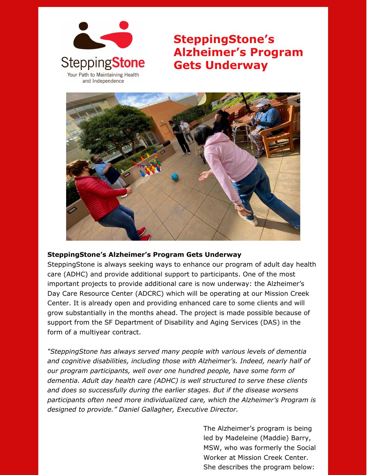

**SteppingStone's Alzheimer's Program Gets Underway**



## **SteppingStone's Alzheimer's Program Gets Underway**

SteppingStone is always seeking ways to enhance our program of adult day health care (ADHC) and provide additional support to participants. One of the most important projects to provide additional care is now underway: the Alzheimer's Day Care Resource Center (ADCRC) which will be operating at our Mission Creek Center. It is already open and providing enhanced care to some clients and will grow substantially in the months ahead. The project is made possible because of support from the SF Department of Disability and Aging Services (DAS) in the form of a multiyear contract.

*"SteppingStone has always served many people with various levels of dementia and cognitive disabilities, including those with Alzheimer's. Indeed, nearly half of our program participants, well over one hundred people, have some form of dementia. Adult day health care (ADHC) is well structured to serve these clients and does so successfully during the earlier stages. But if the disease worsens participants often need more individualized care, which the Alzheimer's Program is designed to provide." Daniel Gallagher, Executive Director.*

> The Alzheimer's program is being led by Madeleine (Maddie) Barry, MSW, who was formerly the Social Worker at Mission Creek Center. She describes the program below: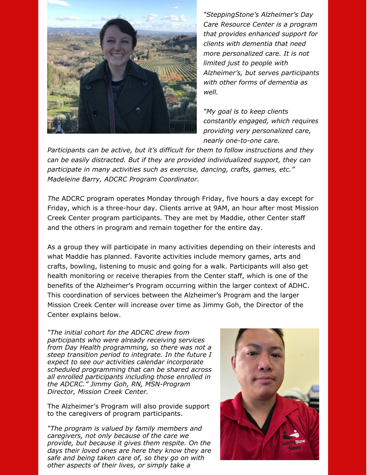

*"SteppingStone's Alzheimer's Day Care Resource Center is a program that provides enhanced support for clients with dementia that need more personalized care. It is not limited just to people with Alzheimer's, but serves participants with other forms of dementia as well.*

*"My goal is to keep clients constantly engaged, which requires providing very personalized care, nearly one-to-one care.*

*Participants can be active, but it's difficult for them to follow instructions and they can be easily distracted. But if they are provided individualized support, they can participate in many activities such as exercise, dancing, crafts, games, etc." Madeleine Barry, ADCRC Program Coordinator.*

*The* ADCRC program operates Monday through Friday, five hours a day except for Friday, which is a three-hour day. Clients arrive at 9AM, an hour after most Mission Creek Center program participants. They are met by Maddie, other Center staff and the others in program and remain together for the entire day.

As a group they will participate in many activities depending on their interests and what Maddie has planned. Favorite activities include memory games, arts and crafts, bowling, listening to music and going for a walk. Participants will also get health monitoring or receive therapies from the Center staff, which is one of the benefits of the Alzheimer's Program occurring within the larger context of ADHC. This coordination of services between the Alzheimer's Program and the larger Mission Creek Center will increase over time as Jimmy Goh, the Director of the Center explains below.

*"The initial cohort for the ADCRC drew from participants who were already receiving services from Day Health programming, so there was not a steep transition period to integrate. In the future I expect to see our activities calendar incorporate scheduled programming that can be shared across all enrolled participants including those enrolled in the ADCRC." Jimmy Goh, RN, MSN-Program Director, Mission Creek Center.*

The Alzheimer's Program will also provide support to the caregivers of program participants.

*"The program is valued by family members and caregivers, not only because of the care we provide, but because it gives them respite. On the days their loved ones are here they know they are safe and being taken care of, so they go on with other aspects of their lives, or simply take a*

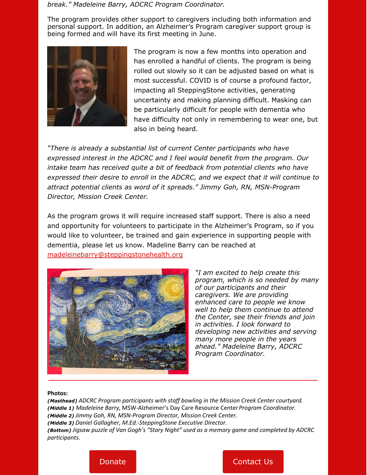## *break." Madeleine Barry, ADCRC Program Coordinator.*

The program provides other support to caregivers including both information and personal support. In addition, an Alzheimer's Program caregiver support group is being formed and will have its first meeting in June.



The program is now a few months into operation and has enrolled a handful of clients. The program is being rolled out slowly so it can be adjusted based on what is most successful. COVID is of course a profound factor, impacting all SteppingStone activities, generating uncertainty and making planning difficult. Masking can be particularly difficult for people with dementia who have difficulty not only in remembering to wear one, but also in being heard.

*"There is already a substantial list of current Center participants who have expressed interest in the ADCRC and I feel would benefit from the program. Our intake team has received quite a bit of feedback from potential clients who have expressed their desire to enroll in the ADCRC, and we expect that it will continue to attract potential clients as word of it spreads." Jimmy Goh, RN, MSN-Program Director, Mission Creek Center.*

As the program grows it will require increased staff support. There is also a need and opportunity for volunteers to participate in the Alzheimer's Program, so if you would like to volunteer, be trained and gain experience in supporting people with dementia, please let us know. Madeline Barry can be reached at [madeleinebarry@steppingstonehealth.org](mailto:madeleinebarry@steppingstonehealth.org)



*"I am excited to help create this program, which is so needed by many of our participants and their caregivers. We are providing enhanced care to people we know well to help them continue to attend the Center, see their friends and join in activities. I look forward to developing new activities and serving many more people in the years ahead." Madeleine Barry, ADCRC Program Coordinator.*

## **Photos:**

*(Masthead) ADCRC Program participants with staff bowling in the Mission Creek Center courtyard. (Middle 1) Madeleine Barry,* MSW*-*Alzheimer's Day Care Resource Center*Program Coordinator. (Middle 2) Jimmy Goh, RN, MSN-Program Director, Mission Creek Center. (Middle 3) Daniel Gallagher, M.Ed.-SteppingStone Executive Director. (Bottom) Jigsaw puzzle of Van Gogh's "Stary Night" used as a memory game and completed by ADCRC participants.*